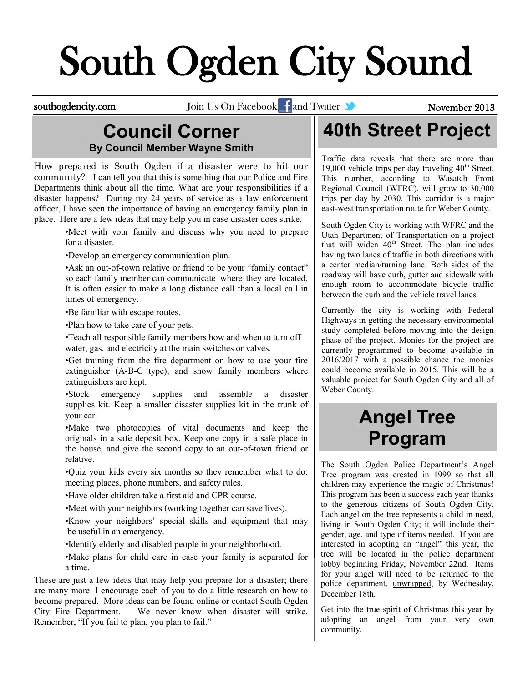# South Ogden City Sound

southogdencity.com Join Us On Facebook and Twitter **State of Access 1988** November 2013

#### **Council Corner By Council Member Wayne Smith**

How prepared is South Ogden if a disaster were to hit our community? I can tell you that this is something that our Police and Fire Departments think about all the time. What are your responsibilities if a disaster happens? During my 24 years of service as a law enforcement officer, I have seen the importance of having an emergency family plan in place. Here are a few ideas that may help you in case disaster does strike.

> •Meet with your family and discuss why you need to prepare for a disaster.

•Develop an emergency communication plan.

•Ask an out-of-town relative or friend to be your "family contact" so each family member can communicate where they are located. It is often easier to make a long distance call than a local call in times of emergency.

•Be familiar with escape routes.

•Plan how to take care of your pets.

•Teach all responsible family members how and when to turn off water, gas, and electricity at the main switches or valves.

•Get training from the fire department on how to use your fire extinguisher (A-B-C type), and show family members where extinguishers are kept.

•Stock emergency supplies and assemble a disaster supplies kit. Keep a smaller disaster supplies kit in the trunk of your car.

•Make two photocopies of vital documents and keep the originals in a safe deposit box. Keep one copy in a safe place in the house, and give the second copy to an out-of-town friend or relative.

•Quiz your kids every six months so they remember what to do: meeting places, phone numbers, and safety rules.

•Have older children take a first aid and CPR course.

•Meet with your neighbors (working together can save lives).

•Know your neighbors' special skills and equipment that may be useful in an emergency.

•Identify elderly and disabled people in your neighborhood.

•Make plans for child care in case your family is separated for a time.

These are just a few ideas that may help you prepare for a disaster; there are many more. I encourage each of you to do a little research on how to become prepared. More ideas can be found online or contact South Ogden City Fire Department. We never know when disaster will strike. Remember, "If you fail to plan, you plan to fail."

# **40th Street Project**

Traffic data reveals that there are more than 19,000 vehicle trips per day traveling  $40<sup>th</sup>$  Street. This number, according to Wasatch Front Regional Council (WFRC), will grow to 30,000 trips per day by 2030. This corridor is a major east-west transportation route for Weber County.

South Ogden City is working with WFRC and the Utah Department of Transportation on a project that will widen  $40<sup>th</sup>$  Street. The plan includes having two lanes of traffic in both directions with a center median/turning lane. Both sides of the roadway will have curb, gutter and sidewalk with enough room to accommodate bicycle traffic between the curb and the vehicle travel lanes.

Currently the city is working with Federal Highways in getting the necessary environmental study completed before moving into the design phase of the project. Monies for the project are currently programmed to become available in 2016/2017 with a possible chance the monies could become available in 2015. This will be a valuable project for South Ogden City and all of Weber County.

### **Angel Tree Program**

The South Ogden Police Department's Angel Tree program was created in 1999 so that all children may experience the magic of Christmas! This program has been a success each year thanks to the generous citizens of South Ogden City. Each angel on the tree represents a child in need, living in South Ogden City; it will include their gender, age, and type of items needed. If you are interested in adopting an "angel" this year, the tree will be located in the police department lobby beginning Friday, November 22nd. Items for your angel will need to be returned to the police department, unwrapped, by Wednesday, December 18th.

Get into the true spirit of Christmas this year by adopting an angel from your very own community.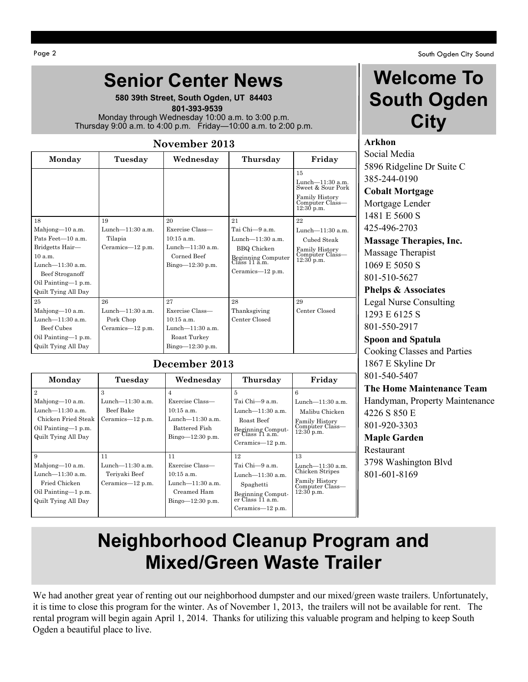#### **Senior Center News**

**580 39th Street, South Ogden, UT 84403**  **801-393-9539** Monday through Wednesday 10:00 a.m. to 3:00 p.m. Thursday 9:00 a.m. to 4:00 p.m. Friday—10:00 a.m. to 2:00 p.m.

#### **November 2013**

| Monday                                                                                                                                                           | Tuesday                                                       | Wednesday                                                                                          | Thursday                                                                                                                        | Friday                                                                                                  |
|------------------------------------------------------------------------------------------------------------------------------------------------------------------|---------------------------------------------------------------|----------------------------------------------------------------------------------------------------|---------------------------------------------------------------------------------------------------------------------------------|---------------------------------------------------------------------------------------------------------|
|                                                                                                                                                                  |                                                               |                                                                                                    |                                                                                                                                 | 15<br>Lunch-11:30 a.m.<br>Sweet & Sour Pork<br><b>Family History</b><br>Computer Class-<br>$12:30$ p.m. |
| 18<br>Mahjong-10 a.m.<br>Pats Feet-10 a.m.<br>Bridgetts Hair-<br>10 a.m.<br>Lunch- $11:30$ a.m.<br>Beef Stroganoff<br>Oil Painting-1 p.m.<br>Quilt Tying All Day | 19<br>Lunch $-11:30$ a.m.<br>Tilapia<br>Ceramics-12 p.m.      | 20<br>Exercise Class—<br>$10:15$ a.m.<br>Lunch- $11:30$ a.m.<br>Corned Beef<br>$Bingo=12:30 p.m.$  | 21<br>Tai Chi—9 a.m.<br>Lunch- $11:30$ a.m.<br><b>BBQ</b> Chicken<br>Beginning Computer<br>Class 11 a.m.<br>Ceramics— $12$ p.m. | 22<br>Lunch— $11:30$ a.m.<br>Cubed Steak<br>Family History<br>Computer Class—<br>$12:30$ p.m.           |
| 25<br>Mahjong-10 a.m.<br>Lunch $-11:30$ a.m.<br>Beef Cubes<br>Oil Painting-1 p.m.<br>Quilt Tying All Day                                                         | 26<br>Lunch- $11:30$ a.m.<br>Pork Chop<br>Ceramics— $12$ p.m. | 27<br>Exercise Class-<br>$10:15$ a.m.<br>Lunch- $11:30$ a.m.<br>Roast Turkey<br>$Bingo-12:30 p.m.$ | 28<br>Thanksgiving<br>Center Closed                                                                                             | 29<br>Center Closed                                                                                     |

#### **December 2013**

| Monday                                                                                                                        | Tuesday                                                           | Wednesday                                                                                         | Thursday                                                                                                                 | Friday                                                                                                 |
|-------------------------------------------------------------------------------------------------------------------------------|-------------------------------------------------------------------|---------------------------------------------------------------------------------------------------|--------------------------------------------------------------------------------------------------------------------------|--------------------------------------------------------------------------------------------------------|
| $\overline{2}$<br>Mahjong-10 a.m.<br>Lunch— $11:30$ a.m.<br>Chicken Fried Steak<br>Oil Painting—1 p.m.<br>Quilt Tying All Day | 3<br>Lunch—11:30 a.m.<br>Beef Bake<br>Ceramics— $12$ p.m.         | 4<br>Exercise Class—<br>$10:15$ a.m.<br>Lunch—11:30 a.m.<br>Battered Fish<br>$Bingo=12:30 p.m.$   | 5<br>Tai Chi-9 a.m.<br>Lunch $-11:30$ a.m.<br>Roast Beef<br>Beginning Comput-<br>er Class 11 a.m.<br>Ceramics— $12$ p.m. | 6<br>Lunch $-11:30$ a.m.<br>Malibu Chicken<br><b>Family History</b><br>Computer Class—<br>$12:30$ p.m. |
| 9<br>Mahjong $-10$ a.m.<br>Lunch— $11:30$ a.m.<br>Fried Chicken<br>Oil Painting—1 p.m.<br>Quilt Tying All Day                 | 11<br>Lunch- $11:30$ a.m.<br>Teriyaki Beef<br>Ceramics- $12$ p.m. | 11<br>Exercise Class—<br>$10:15$ a.m.<br>Lunch— $11:30$ a.m.<br>Creamed Ham<br>$Bingo=12:30 p.m.$ | 12<br>Tai Chi-9 a.m.<br>Lunch $-11:30$ a.m.<br>Spaghetti<br>Beginning Comput-<br>er Class 11 a.m.<br>Ceramics— $12$ p.m. | 13<br>Lunch—11:30 a.m.<br>Chicken Stripes<br><b>Family History</b><br>Computer Class—<br>$12:30$ p.m.  |

### **Welcome To South Ogden City**

#### **Arkhon**

Social Media 5896 Ridgeline Dr Suite C 385-244-0190 **Cobalt Mortgage**

Mortgage Lender 1481 E 5600 S 425-496-2703

**Massage Therapies, Inc.** Massage Therapist 1069 E 5050 S 801-510-5627

**Phelps & Associates** Legal Nurse Consulting 1293 E 6125 S 801-550-2917

**Spoon and Spatula** Cooking Classes and Parties 1867 E Skyline Dr 801-540-5407

#### **The Home Maintenance Team**

Handyman, Property Maintenance 4226 S 850 E 801-920-3303

**Maple Garden**

Restaurant 3798 Washington Blvd 801-601-8169

### **Neighborhood Cleanup Program and Mixed/Green Waste Trailer**

We had another great year of renting out our neighborhood dumpster and our mixed/green waste trailers. Unfortunately, it is time to close this program for the winter. As of November 1, 2013, the trailers will not be available for rent. The rental program will begin again April 1, 2014. Thanks for utilizing this valuable program and helping to keep South Ogden a beautiful place to live.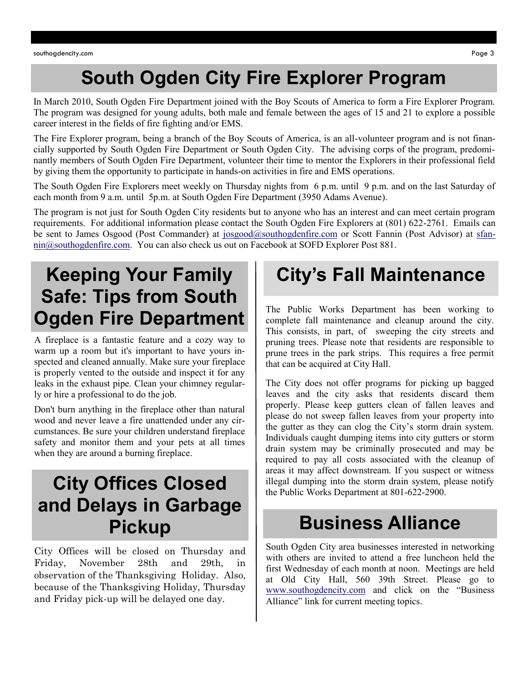### **South Ogden City Fire Explorer Program**

In March 2010, South Ogden Fire Department joined with the Boy Scouts of America to form a Fire Explorer Program. The program was designed for young adults, both male and female between the ages of 15 and 21 to explore a possible career interest in the fields of fire fighting and/or EMS.

The Fire Explorer program, being a branch of the Boy Scouts of America, is an all-volunteer program and is not financially supported by South Ogden Fire Department or South Ogden City. The advising corps of the program, predominantly members of South Ogden Fire Department, volunteer their time to mentor the Explorers in their professional field by giving them the opportunity to participate in hands-on activities in fire and EMS operations.

The South Ogden Fire Explorers meet weekly on Thursday nights from 6 p.m. until 9 p.m. and on the last Saturday of each month from 9 a.m. until 5p.m. at South Ogden Fire Department (3950 Adams Avenue).

The program is not just for South Ogden City residents but to anyone who has an interest and can meet certain program requirements. For additional information please contact the South Ogden Fire Explorers at (801) 622-2761. Emails can be sent to James Osgood (Post Commander) at [josgood@southogdenfire.com](mailto:josgood@southogdenfire.com) or Scott Fannin (Post Advisor) at [sfan](mailto:sfannin@southogdenfire.com)[nin@southogdenfire.com.](mailto:sfannin@southogdenfire.com) You can also check us out on Facebook at SOFD Explorer Post 881.

## **Keeping Your Family Safe: Tips from South Ogden Fire Department**

A fireplace is a fantastic feature and a cozy way to warm up a room but it's important to have yours inspected and cleaned annually. Make sure your fireplace is properly vented to the outside and inspect it for any leaks in the exhaust pipe. Clean your chimney regularly or hire a professional to do the job.

Don't burn anything in the fireplace other than natural wood and never leave a fire unattended under any circumstances. Be sure your children understand fireplace safety and monitor them and your pets at all times when they are around a burning fireplace.

### **City Offices Closed and Delays in Garbage Pickup**

City Offices will be closed on Thursday and Friday, November 28th and 29th, in observation of the Thanksgiving Holiday. Also, because of the Thanksgiving Holiday, Thursday and Friday pick-up will be delayed one day.

### **City's Fall Maintenance**

The Public Works Department has been working to complete fall maintenance and cleanup around the city. This consists, in part, of sweeping the city streets and pruning trees. Please note that residents are responsible to prune trees in the park strips. This requires a free permit that can be acquired at City Hall.

The City does not offer programs for picking up bagged leaves and the city asks that residents discard them properly. Please keep gutters clean of fallen leaves and please do not sweep fallen leaves from your property into the gutter as they can clog the City's storm drain system. Individuals caught dumping items into city gutters or storm drain system may be criminally prosecuted and may be required to pay all costs associated with the cleanup of areas it may affect downstream. If you suspect or witness illegal dumping into the storm drain system, please notify the Public Works Department at 801-622-2900.

### **Business Alliance**

South Ogden City area businesses interested in networking with others are invited to attend a free luncheon held the first Wednesday of each month at noon. Meetings are held at Old City Hall, 560 39th Street. Please go to [www.southogdencity.com](http://www.southogdencity.com/) and click on the "Business Alliance" link for current meeting topics.